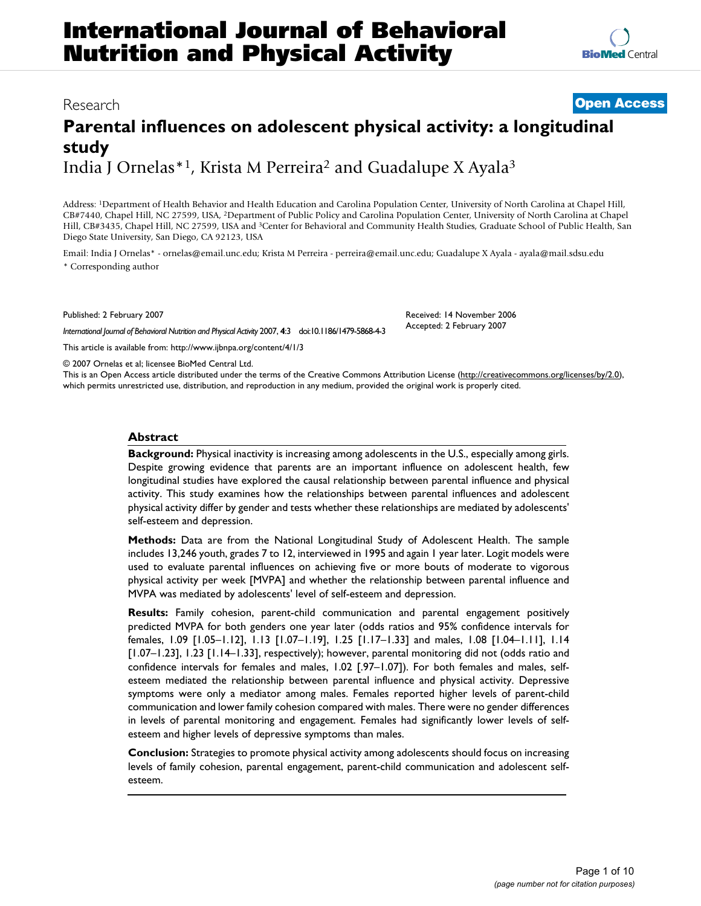# Research **[Open Access](http://www.biomedcentral.com/info/about/charter/)**

# **Parental influences on adolescent physical activity: a longitudinal study** India J Ornelas<sup>\*1</sup>, Krista M Perreira<sup>2</sup> and Guadalupe X Ayala<sup>3</sup>

Address: 1Department of Health Behavior and Health Education and Carolina Population Center, University of North Carolina at Chapel Hill, CB#7440, Chapel Hill, NC 27599, USA, 2Department of Public Policy and Carolina Population Center, University of North Carolina at Chapel Hill, CB#3435, Chapel Hill, NC 27599, USA and 3Center for Behavioral and Community Health Studies, Graduate School of Public Health, San Diego State University, San Diego, CA 92123, USA

Email: India J Ornelas\* - ornelas@email.unc.edu; Krista M Perreira - perreira@email.unc.edu; Guadalupe X Ayala - ayala@mail.sdsu.edu \* Corresponding author

Published: 2 February 2007

*International Journal of Behavioral Nutrition and Physical Activity* 2007, **4**:3 doi:10.1186/1479-5868-4-3

[This article is available from: http://www.ijbnpa.org/content/4/1/3](http://www.ijbnpa.org/content/4/1/3)

© 2007 Ornelas et al; licensee BioMed Central Ltd.

This is an Open Access article distributed under the terms of the Creative Commons Attribution License [\(http://creativecommons.org/licenses/by/2.0\)](http://creativecommons.org/licenses/by/2.0), which permits unrestricted use, distribution, and reproduction in any medium, provided the original work is properly cited.

### **Abstract**

**Background:** Physical inactivity is increasing among adolescents in the U.S., especially among girls. Despite growing evidence that parents are an important influence on adolescent health, few longitudinal studies have explored the causal relationship between parental influence and physical activity. This study examines how the relationships between parental influences and adolescent physical activity differ by gender and tests whether these relationships are mediated by adolescents' self-esteem and depression.

**Methods:** Data are from the National Longitudinal Study of Adolescent Health. The sample includes 13,246 youth, grades 7 to 12, interviewed in 1995 and again 1 year later. Logit models were used to evaluate parental influences on achieving five or more bouts of moderate to vigorous physical activity per week [MVPA] and whether the relationship between parental influence and MVPA was mediated by adolescents' level of self-esteem and depression.

**Results:** Family cohesion, parent-child communication and parental engagement positively predicted MVPA for both genders one year later (odds ratios and 95% confidence intervals for females, 1.09 [1.05–1.12], 1.13 [1.07–1.19], 1.25 [1.17–1.33] and males, 1.08 [1.04–1.11], 1.14 [1.07–1.23], 1.23 [1.14–1.33], respectively); however, parental monitoring did not (odds ratio and confidence intervals for females and males, 1.02 [.97–1.07]). For both females and males, selfesteem mediated the relationship between parental influence and physical activity. Depressive symptoms were only a mediator among males. Females reported higher levels of parent-child communication and lower family cohesion compared with males. There were no gender differences in levels of parental monitoring and engagement. Females had significantly lower levels of selfesteem and higher levels of depressive symptoms than males.

**Conclusion:** Strategies to promote physical activity among adolescents should focus on increasing levels of family cohesion, parental engagement, parent-child communication and adolescent selfesteem.

Received: 14 November 2006 Accepted: 2 February 2007

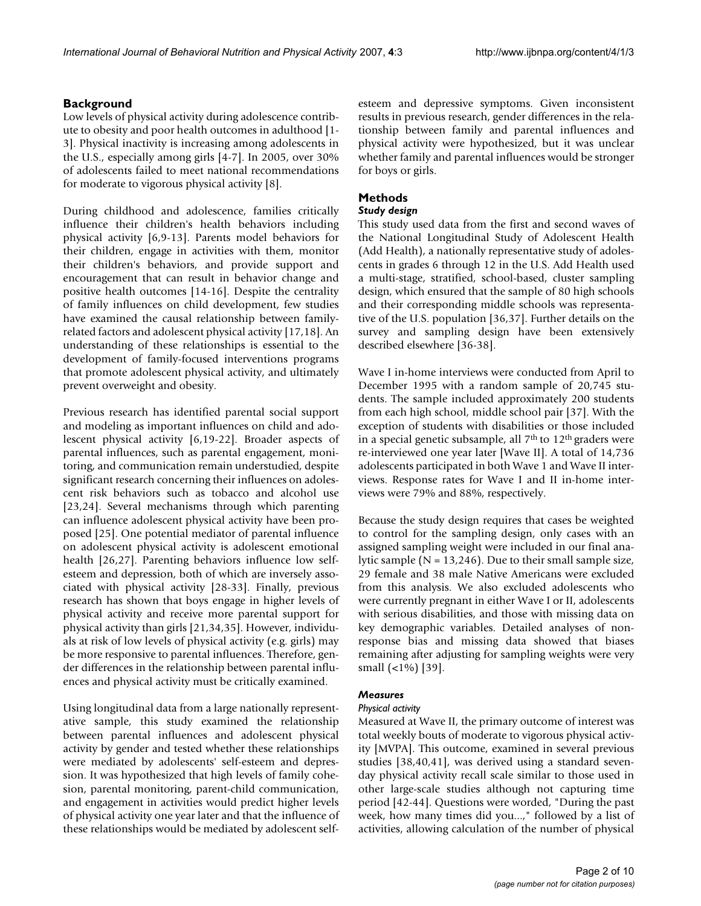# **Background**

Low levels of physical activity during adolescence contribute to obesity and poor health outcomes in adulthood [1- 3]. Physical inactivity is increasing among adolescents in the U.S., especially among girls [4-7]. In 2005, over 30% of adolescents failed to meet national recommendations for moderate to vigorous physical activity [8].

During childhood and adolescence, families critically influence their children's health behaviors including physical activity [6,9-13]. Parents model behaviors for their children, engage in activities with them, monitor their children's behaviors, and provide support and encouragement that can result in behavior change and positive health outcomes [14-16]. Despite the centrality of family influences on child development, few studies have examined the causal relationship between familyrelated factors and adolescent physical activity [17,18]. An understanding of these relationships is essential to the development of family-focused interventions programs that promote adolescent physical activity, and ultimately prevent overweight and obesity.

Previous research has identified parental social support and modeling as important influences on child and adolescent physical activity [6,19-22]. Broader aspects of parental influences, such as parental engagement, monitoring, and communication remain understudied, despite significant research concerning their influences on adolescent risk behaviors such as tobacco and alcohol use [23,24]. Several mechanisms through which parenting can influence adolescent physical activity have been proposed [25]. One potential mediator of parental influence on adolescent physical activity is adolescent emotional health [26,27]. Parenting behaviors influence low selfesteem and depression, both of which are inversely associated with physical activity [28-33]. Finally, previous research has shown that boys engage in higher levels of physical activity and receive more parental support for physical activity than girls [21,34,35]. However, individuals at risk of low levels of physical activity (e.g. girls) may be more responsive to parental influences. Therefore, gender differences in the relationship between parental influences and physical activity must be critically examined.

Using longitudinal data from a large nationally representative sample, this study examined the relationship between parental influences and adolescent physical activity by gender and tested whether these relationships were mediated by adolescents' self-esteem and depression. It was hypothesized that high levels of family cohesion, parental monitoring, parent-child communication, and engagement in activities would predict higher levels of physical activity one year later and that the influence of these relationships would be mediated by adolescent selfesteem and depressive symptoms. Given inconsistent results in previous research, gender differences in the relationship between family and parental influences and physical activity were hypothesized, but it was unclear whether family and parental influences would be stronger for boys or girls.

# **Methods**

### *Study design*

This study used data from the first and second waves of the National Longitudinal Study of Adolescent Health (Add Health), a nationally representative study of adolescents in grades 6 through 12 in the U.S. Add Health used a multi-stage, stratified, school-based, cluster sampling design, which ensured that the sample of 80 high schools and their corresponding middle schools was representative of the U.S. population [36,37]. Further details on the survey and sampling design have been extensively described elsewhere [36-38].

Wave I in-home interviews were conducted from April to December 1995 with a random sample of 20,745 students. The sample included approximately 200 students from each high school, middle school pair [37]. With the exception of students with disabilities or those included in a special genetic subsample, all  $7<sup>th</sup>$  to  $12<sup>th</sup>$  graders were re-interviewed one year later [Wave II]. A total of 14,736 adolescents participated in both Wave 1 and Wave II interviews. Response rates for Wave I and II in-home interviews were 79% and 88%, respectively.

Because the study design requires that cases be weighted to control for the sampling design, only cases with an assigned sampling weight were included in our final analytic sample ( $N = 13,246$ ). Due to their small sample size, 29 female and 38 male Native Americans were excluded from this analysis. We also excluded adolescents who were currently pregnant in either Wave I or II, adolescents with serious disabilities, and those with missing data on key demographic variables. Detailed analyses of nonresponse bias and missing data showed that biases remaining after adjusting for sampling weights were very small (<1%) [39].

## *Measures*

### *Physical activity*

Measured at Wave II, the primary outcome of interest was total weekly bouts of moderate to vigorous physical activity [MVPA]. This outcome, examined in several previous studies [38,40,41], was derived using a standard sevenday physical activity recall scale similar to those used in other large-scale studies although not capturing time period [42-44]. Questions were worded, "During the past week, how many times did you...," followed by a list of activities, allowing calculation of the number of physical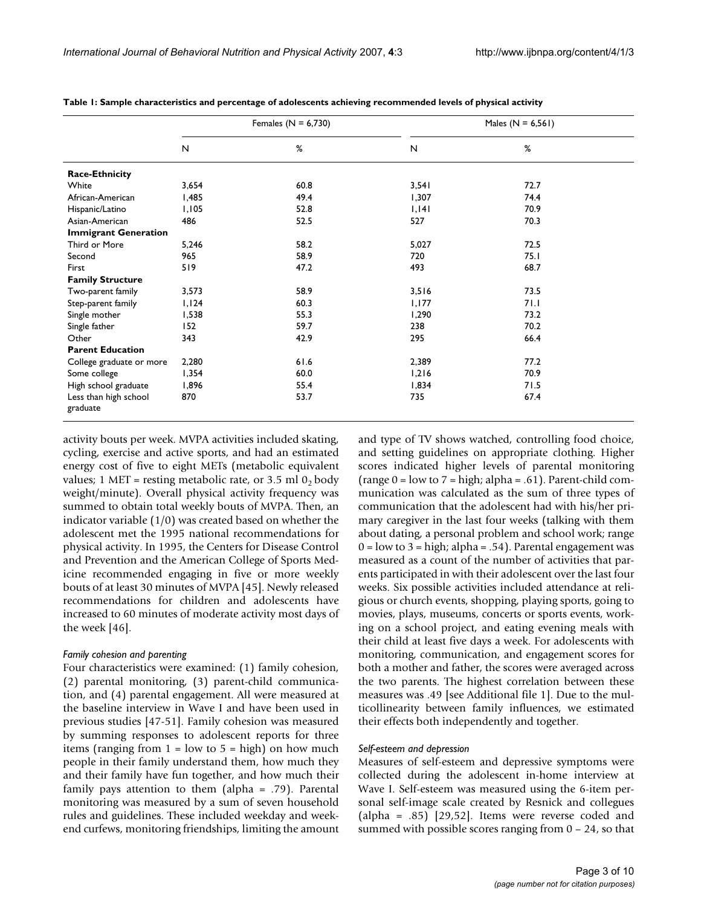|                                   |       | Females ( $N = 6,730$ ) | Males ( $N = 6,561$ ) |      |  |  |  |
|-----------------------------------|-------|-------------------------|-----------------------|------|--|--|--|
|                                   | N     | %                       | N                     | %    |  |  |  |
| <b>Race-Ethnicity</b>             |       |                         |                       |      |  |  |  |
| White                             | 3,654 | 60.8                    | 3,541                 | 72.7 |  |  |  |
| African-American                  | 1,485 | 49.4                    | 1,307                 | 74.4 |  |  |  |
| Hispanic/Latino                   | 1,105 | 52.8                    | 1,141                 | 70.9 |  |  |  |
| Asian-American                    | 486   | 52.5                    | 527                   | 70.3 |  |  |  |
| <b>Immigrant Generation</b>       |       |                         |                       |      |  |  |  |
| Third or More                     | 5,246 | 58.2                    | 5,027                 | 72.5 |  |  |  |
| Second                            | 965   | 58.9                    | 720                   | 75.1 |  |  |  |
| First                             | 519   | 47.2                    | 493                   | 68.7 |  |  |  |
| <b>Family Structure</b>           |       |                         |                       |      |  |  |  |
| Two-parent family                 | 3,573 | 58.9                    | 3,516                 | 73.5 |  |  |  |
| Step-parent family                | 1,124 | 60.3                    | 1,177                 | 71.1 |  |  |  |
| Single mother                     | 1,538 | 55.3                    | 1,290                 | 73.2 |  |  |  |
| Single father                     | 152   | 59.7                    | 238                   | 70.2 |  |  |  |
| Other                             | 343   | 42.9                    | 295                   | 66.4 |  |  |  |
| <b>Parent Education</b>           |       |                         |                       |      |  |  |  |
| College graduate or more          | 2,280 | 61.6                    | 2,389                 | 77.2 |  |  |  |
| Some college                      | 1,354 | 60.0                    | 1,216                 | 70.9 |  |  |  |
| High school graduate              | 1,896 | 55.4                    | 1,834                 | 71.5 |  |  |  |
| Less than high school<br>graduate | 870   | 53.7                    | 735                   | 67.4 |  |  |  |

**Table 1: Sample characteristics and percentage of adolescents achieving recommended levels of physical activity**

activity bouts per week. MVPA activities included skating, cycling, exercise and active sports, and had an estimated energy cost of five to eight METs (metabolic equivalent values; 1 MET = resting metabolic rate, or 3.5 ml  $0$ , body weight/minute). Overall physical activity frequency was summed to obtain total weekly bouts of MVPA. Then, an indicator variable (1/0) was created based on whether the adolescent met the 1995 national recommendations for physical activity. In 1995, the Centers for Disease Control and Prevention and the American College of Sports Medicine recommended engaging in five or more weekly bouts of at least 30 minutes of MVPA [45]. Newly released recommendations for children and adolescents have increased to 60 minutes of moderate activity most days of the week [46].

#### *Family cohesion and parenting*

Four characteristics were examined: (1) family cohesion, (2) parental monitoring, (3) parent-child communication, and (4) parental engagement. All were measured at the baseline interview in Wave I and have been used in previous studies [47-51]. Family cohesion was measured by summing responses to adolescent reports for three items (ranging from  $1 =$  low to  $5 =$  high) on how much people in their family understand them, how much they and their family have fun together, and how much their family pays attention to them (alpha = .79). Parental monitoring was measured by a sum of seven household rules and guidelines. These included weekday and weekend curfews, monitoring friendships, limiting the amount

and type of TV shows watched, controlling food choice, and setting guidelines on appropriate clothing. Higher scores indicated higher levels of parental monitoring (range  $0 =$  low to  $7 =$  high; alpha = .61). Parent-child communication was calculated as the sum of three types of communication that the adolescent had with his/her primary caregiver in the last four weeks (talking with them about dating, a personal problem and school work; range  $0 =$ low to  $3 =$ high; alpha = .54). Parental engagement was measured as a count of the number of activities that parents participated in with their adolescent over the last four weeks. Six possible activities included attendance at religious or church events, shopping, playing sports, going to movies, plays, museums, concerts or sports events, working on a school project, and eating evening meals with their child at least five days a week. For adolescents with monitoring, communication, and engagement scores for both a mother and father, the scores were averaged across the two parents. The highest correlation between these measures was .49 [see Additional file 1]. Due to the multicollinearity between family influences, we estimated their effects both independently and together.

#### *Self-esteem and depression*

Measures of self-esteem and depressive symptoms were collected during the adolescent in-home interview at Wave I. Self-esteem was measured using the 6-item personal self-image scale created by Resnick and collegues (alpha = .85) [29,52]. Items were reverse coded and summed with possible scores ranging from  $0 - 24$ , so that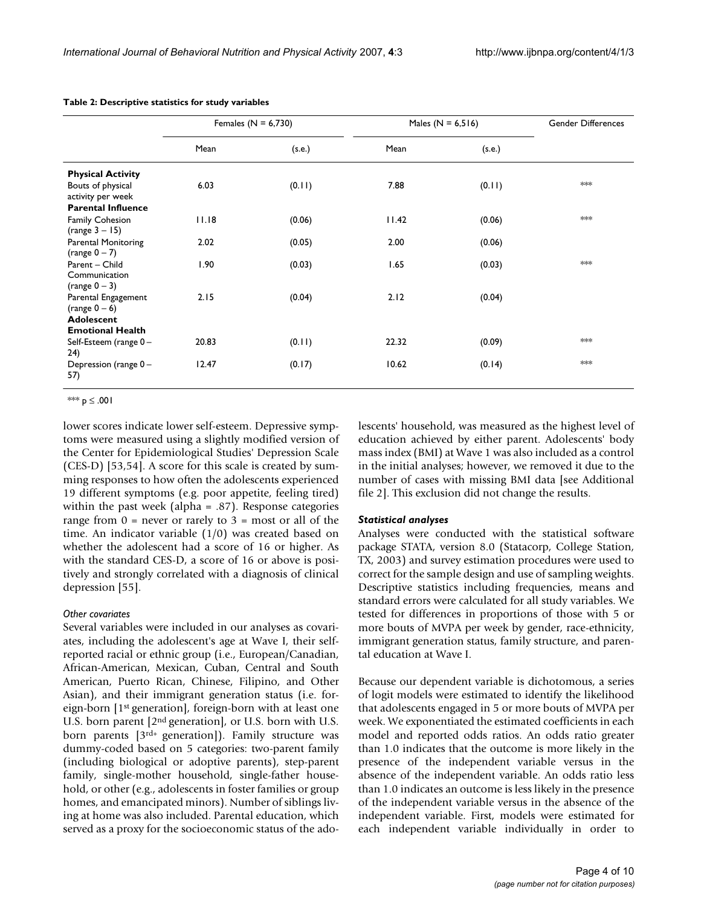|                                                     | Females ( $N = 6,730$ ) |        | Males ( $N = 6,516$ ) | <b>Gender Differences</b> |     |
|-----------------------------------------------------|-------------------------|--------|-----------------------|---------------------------|-----|
|                                                     | Mean                    | (s.e.) | Mean                  | (s.e.)                    |     |
| <b>Physical Activity</b>                            |                         |        |                       |                           |     |
| Bouts of physical<br>activity per week              | 6.03                    | (0.11) | 7.88                  | (0.11)                    | $*$ |
| <b>Parental Influence</b>                           |                         |        |                       |                           |     |
| <b>Family Cohesion</b><br>(range $3 - 15$ )         | 11.18                   | (0.06) | 11.42                 | (0.06)                    | $*$ |
| <b>Parental Monitoring</b><br>(range $0 - 7$ )      | 2.02                    | (0.05) | 2.00                  | (0.06)                    |     |
| Parent - Child<br>Communication<br>(range $0 - 3$ ) | 1.90                    | (0.03) | 1.65                  | (0.03)                    | $*$ |
| Parental Engagement<br>(range $0 - 6$ )             | 2.15                    | (0.04) | 2.12                  | (0.04)                    |     |
| <b>Adolescent</b>                                   |                         |        |                       |                           |     |
| <b>Emotional Health</b>                             |                         |        |                       |                           |     |
| Self-Esteem (range $0-$<br>24)                      | 20.83                   | (0.11) | 22.32                 | (0.09)                    | $*$ |
| Depression (range 0-<br>57)                         | 12.47                   | (0.17) | 10.62                 | (0.14)                    | $*$ |

#### **Table 2: Descriptive statistics for study variables**

\*\*\*  $p \le .001$ 

lower scores indicate lower self-esteem. Depressive symptoms were measured using a slightly modified version of the Center for Epidemiological Studies' Depression Scale (CES-D) [53,54]. A score for this scale is created by summing responses to how often the adolescents experienced 19 different symptoms (e.g. poor appetite, feeling tired) within the past week (alpha = .87). Response categories range from  $0 =$  never or rarely to  $3 =$  most or all of the time. An indicator variable (1/0) was created based on whether the adolescent had a score of 16 or higher. As with the standard CES-D, a score of 16 or above is positively and strongly correlated with a diagnosis of clinical depression [55].

### *Other covariates*

Several variables were included in our analyses as covariates, including the adolescent's age at Wave I, their selfreported racial or ethnic group (i.e., European/Canadian, African-American, Mexican, Cuban, Central and South American, Puerto Rican, Chinese, Filipino, and Other Asian), and their immigrant generation status (i.e. foreign-born [1st generation], foreign-born with at least one U.S. born parent [2nd generation], or U.S. born with U.S. born parents  $[3^{rd+}$  generation]). Family structure was dummy-coded based on 5 categories: two-parent family (including biological or adoptive parents), step-parent family, single-mother household, single-father household, or other (e.g., adolescents in foster families or group homes, and emancipated minors). Number of siblings living at home was also included. Parental education, which served as a proxy for the socioeconomic status of the adolescents' household, was measured as the highest level of education achieved by either parent. Adolescents' body mass index (BMI) at Wave 1 was also included as a control in the initial analyses; however, we removed it due to the number of cases with missing BMI data [see Additional file 2]. This exclusion did not change the results.

### *Statistical analyses*

Analyses were conducted with the statistical software package STATA, version 8.0 (Statacorp, College Station, TX, 2003) and survey estimation procedures were used to correct for the sample design and use of sampling weights. Descriptive statistics including frequencies, means and standard errors were calculated for all study variables. We tested for differences in proportions of those with 5 or more bouts of MVPA per week by gender, race-ethnicity, immigrant generation status, family structure, and parental education at Wave I.

Because our dependent variable is dichotomous, a series of logit models were estimated to identify the likelihood that adolescents engaged in 5 or more bouts of MVPA per week. We exponentiated the estimated coefficients in each model and reported odds ratios. An odds ratio greater than 1.0 indicates that the outcome is more likely in the presence of the independent variable versus in the absence of the independent variable. An odds ratio less than 1.0 indicates an outcome is less likely in the presence of the independent variable versus in the absence of the independent variable. First, models were estimated for each independent variable individually in order to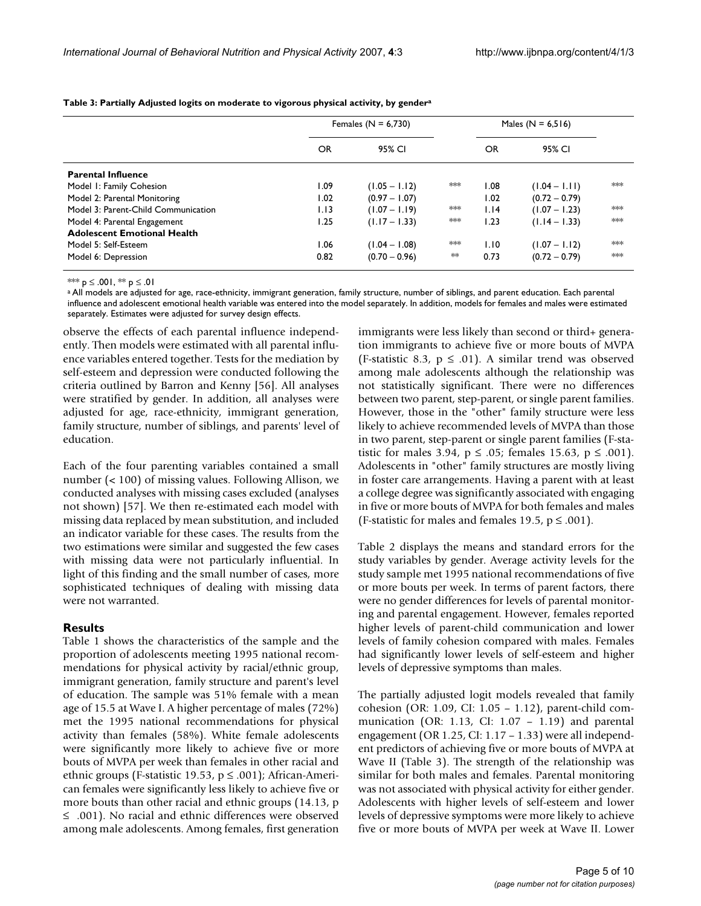|                                     | Females ( $N = 6,730$ ) |                 |       | Males ( $N = 6,516$ ) |                 |     |
|-------------------------------------|-------------------------|-----------------|-------|-----------------------|-----------------|-----|
|                                     | OR                      | 95% CI          |       | OR                    | 95% CI          |     |
| <b>Parental Influence</b>           |                         |                 |       |                       |                 |     |
| Model 1: Family Cohesion            | <b>1.09</b>             | $(1.05 - 1.12)$ | $*$   | 1.08                  | $(1.04 - 1.11)$ | $*$ |
| Model 2: Parental Monitoring        | 1.02                    | $(0.97 - 1.07)$ |       | 1.02                  | $(0.72 - 0.79)$ |     |
| Model 3: Parent-Child Communication | 1.13                    | $(1.07 - 1.19)$ | $*$   | 1.14                  | $(1.07 - 1.23)$ | c c |
| Model 4: Parental Engagement        | 1.25                    | $(1.17 - 1.33)$ | $***$ | 1.23                  | $(1.14 - 1.33)$ | $*$ |
| <b>Adolescent Emotional Health</b>  |                         |                 |       |                       |                 |     |
| Model 5: Self-Esteem                | 1.06                    | $(1.04 - 1.08)$ | $*$   | 1.10                  | $(1.07 - 1.12)$ | $*$ |
| Model 6: Depression                 | 0.82                    | $(0.70 - 0.96)$ | ∗×    | 0.73                  | $(0.72 - 0.79)$ | $*$ |

**Table 3: Partially Adjusted logits on moderate to vigorous physical activity, by gendera**

 $*$  ≠\*\* p ≤ .001,  $*$  p ≤ .01

a All models are adjusted for age, race-ethnicity, immigrant generation, family structure, number of siblings, and parent education. Each parental influence and adolescent emotional health variable was entered into the model separately. In addition, models for females and males were estimated separately. Estimates were adjusted for survey design effects.

observe the effects of each parental influence independently. Then models were estimated with all parental influence variables entered together. Tests for the mediation by self-esteem and depression were conducted following the criteria outlined by Barron and Kenny [56]. All analyses were stratified by gender. In addition, all analyses were adjusted for age, race-ethnicity, immigrant generation, family structure, number of siblings, and parents' level of education.

Each of the four parenting variables contained a small number (< 100) of missing values. Following Allison, we conducted analyses with missing cases excluded (analyses not shown) [57]. We then re-estimated each model with missing data replaced by mean substitution, and included an indicator variable for these cases. The results from the two estimations were similar and suggested the few cases with missing data were not particularly influential. In light of this finding and the small number of cases, more sophisticated techniques of dealing with missing data were not warranted.

### **Results**

Table 1 shows the characteristics of the sample and the proportion of adolescents meeting 1995 national recommendations for physical activity by racial/ethnic group, immigrant generation, family structure and parent's level of education. The sample was 51% female with a mean age of 15.5 at Wave I. A higher percentage of males (72%) met the 1995 national recommendations for physical activity than females (58%). White female adolescents were significantly more likely to achieve five or more bouts of MVPA per week than females in other racial and ethnic groups (F-statistic 19.53,  $p \leq .001$ ); African-American females were significantly less likely to achieve five or more bouts than other racial and ethnic groups (14.13, p ≤ .001). No racial and ethnic differences were observed among male adolescents. Among females, first generation

immigrants were less likely than second or third+ generation immigrants to achieve five or more bouts of MVPA (F-statistic 8.3,  $p \leq .01$ ). A similar trend was observed among male adolescents although the relationship was not statistically significant. There were no differences between two parent, step-parent, or single parent families. However, those in the "other" family structure were less likely to achieve recommended levels of MVPA than those in two parent, step-parent or single parent families (F-statistic for males 3.94,  $p$  ≤ .05; females 15.63,  $p$  ≤ .001). Adolescents in "other" family structures are mostly living in foster care arrangements. Having a parent with at least a college degree was significantly associated with engaging in five or more bouts of MVPA for both females and males (F-statistic for males and females 19.5,  $p \le 0.001$ ).

Table 2 displays the means and standard errors for the study variables by gender. Average activity levels for the study sample met 1995 national recommendations of five or more bouts per week. In terms of parent factors, there were no gender differences for levels of parental monitoring and parental engagement. However, females reported higher levels of parent-child communication and lower levels of family cohesion compared with males. Females had significantly lower levels of self-esteem and higher levels of depressive symptoms than males.

The partially adjusted logit models revealed that family cohesion (OR: 1.09, CI: 1.05 – 1.12), parent-child communication (OR: 1.13, CI: 1.07 – 1.19) and parental engagement (OR 1.25, CI: 1.17 – 1.33) were all independent predictors of achieving five or more bouts of MVPA at Wave II (Table 3). The strength of the relationship was similar for both males and females. Parental monitoring was not associated with physical activity for either gender. Adolescents with higher levels of self-esteem and lower levels of depressive symptoms were more likely to achieve five or more bouts of MVPA per week at Wave II. Lower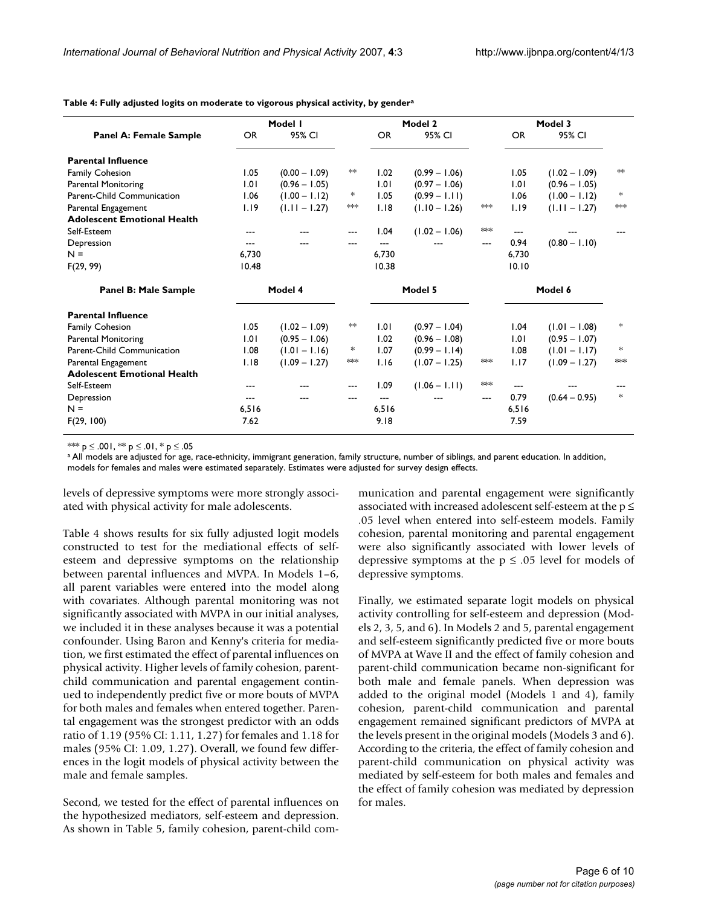|                                    | Model I |                 |     | Model 2   |                 | Model 3 |         |                 |     |
|------------------------------------|---------|-----------------|-----|-----------|-----------------|---------|---------|-----------------|-----|
| Panel A: Female Sample             | OR      | 95% CI          |     | <b>OR</b> | 95% CI          |         | OR.     | 95% CI          |     |
| <b>Parental Influence</b>          |         |                 |     |           |                 |         |         |                 |     |
| Family Cohesion                    | 1.05    | $(0.00 - 1.09)$ | **  | 1.02      | $(0.99 - 1.06)$ |         | 1.05    | $(1.02 - 1.09)$ | **  |
| <b>Parental Monitoring</b>         | 1.01    | $(0.96 - 1.05)$ |     | 1.01      | $(0.97 - 1.06)$ |         | 1.01    | $(0.96 - 1.05)$ |     |
| Parent-Child Communication         | 1.06    | $(1.00 - 1.12)$ | *   | 1.05      | $(0.99 - 1.11)$ |         | 1.06    | $(1.00 - 1.12)$ | $*$ |
| Parental Engagement                | 1.19    | $(1.11 - 1.27)$ | $*$ | 1.18      | $(1.10 - 1.26)$ | $*$     | 1.19    | $(1.11 - 1.27)$ | **  |
| <b>Adolescent Emotional Health</b> |         |                 |     |           |                 |         |         |                 |     |
| Self-Esteem                        | ---     |                 | --- | 1.04      | $(1.02 - 1.06)$ | $*$     | ---     |                 |     |
| Depression                         | ---     |                 | --- |           |                 | $---$   | 0.94    | $(0.80 - 1.10)$ |     |
| $N =$                              | 6.730   |                 |     | 6.730     |                 |         | 6.730   |                 |     |
| F(29, 99)                          | 10.48   |                 |     | 10.38     |                 |         | 10.10   |                 |     |
| Panel B: Male Sample               | Model 4 |                 |     | Model 5   |                 |         | Model 6 |                 |     |
| <b>Parental Influence</b>          |         |                 |     |           |                 |         |         |                 |     |
| <b>Family Cohesion</b>             | 1.05    | $(1.02 - 1.09)$ | ∗∗  | 1.01      | $(0.97 - 1.04)$ |         | 1.04    | $(1.01 - 1.08)$ | *   |
| <b>Parental Monitoring</b>         | 1.01    | $(0.95 - 1.06)$ |     | 1.02      | $(0.96 - 1.08)$ |         | 1.01    | $(0.95 - 1.07)$ |     |
| Parent-Child Communication         | 1.08    | $(1.01 - 1.16)$ | *   | 1.07      | $(0.99 - 1.14)$ |         | 1.08    | $(1.01 - 1.17)$ | *   |
| Parental Engagement                | 1.18    | $(1.09 - 1.27)$ | $*$ | 1.16      | $(1.07 - 1.25)$ | **      | 1.17    | $(1.09 - 1.27)$ | $*$ |
| <b>Adolescent Emotional Health</b> |         |                 |     |           |                 |         |         |                 |     |
| Self-Esteem                        | ---     |                 | --- | 1.09      | $(1.06 - 1.11)$ | $*$     | ---     |                 |     |
| Depression                         | ---     |                 | --- | ---       |                 | $---$   | 0.79    | $(0.64 - 0.95)$ | $*$ |
| $N =$                              | 6,516   |                 |     | 6.516     |                 |         | 6,516   |                 |     |
| F(29, 100)                         | 7.62    |                 |     | 9.18      |                 |         | 7.59    |                 |     |

**Table 4: Fully adjusted logits on moderate to vigorous physical activity, by gendera**

\*\*\*  $p \le 0.001$ , \*\*  $p \le 0.01$ , \*  $p \le 0.05$ 

a All models are adjusted for age, race-ethnicity, immigrant generation, family structure, number of siblings, and parent education. In addition, models for females and males were estimated separately. Estimates were adjusted for survey design effects.

levels of depressive symptoms were more strongly associated with physical activity for male adolescents.

Table 4 shows results for six fully adjusted logit models constructed to test for the mediational effects of selfesteem and depressive symptoms on the relationship between parental influences and MVPA. In Models 1–6, all parent variables were entered into the model along with covariates. Although parental monitoring was not significantly associated with MVPA in our initial analyses, we included it in these analyses because it was a potential confounder. Using Baron and Kenny's criteria for mediation, we first estimated the effect of parental influences on physical activity. Higher levels of family cohesion, parentchild communication and parental engagement continued to independently predict five or more bouts of MVPA for both males and females when entered together. Parental engagement was the strongest predictor with an odds ratio of 1.19 (95% CI: 1.11, 1.27) for females and 1.18 for males (95% CI: 1.09, 1.27). Overall, we found few differences in the logit models of physical activity between the male and female samples.

Second, we tested for the effect of parental influences on the hypothesized mediators, self-esteem and depression. As shown in Table 5, family cohesion, parent-child communication and parental engagement were significantly associated with increased adolescent self-esteem at the  $p \leq$ .05 level when entered into self-esteem models. Family cohesion, parental monitoring and parental engagement were also significantly associated with lower levels of depressive symptoms at the  $p \leq .05$  level for models of depressive symptoms.

Finally, we estimated separate logit models on physical activity controlling for self-esteem and depression (Models 2, 3, 5, and 6). In Models 2 and 5, parental engagement and self-esteem significantly predicted five or more bouts of MVPA at Wave II and the effect of family cohesion and parent-child communication became non-significant for both male and female panels. When depression was added to the original model (Models 1 and 4), family cohesion, parent-child communication and parental engagement remained significant predictors of MVPA at the levels present in the original models (Models 3 and 6). According to the criteria, the effect of family cohesion and parent-child communication on physical activity was mediated by self-esteem for both males and females and the effect of family cohesion was mediated by depression for males.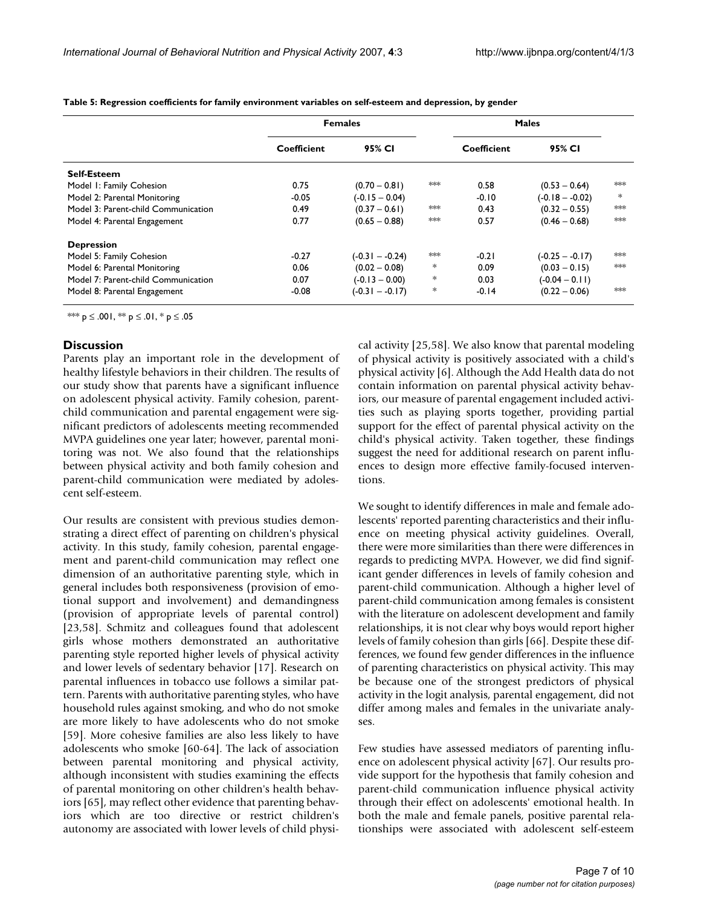|                                     | <b>Females</b>     |                   |        | <b>Males</b> |                   |     |
|-------------------------------------|--------------------|-------------------|--------|--------------|-------------------|-----|
|                                     | <b>Coefficient</b> | 95% CI            |        | Coefficient  | 95% CI            |     |
| <b>Self-Esteem</b>                  |                    |                   |        |              |                   |     |
| Model 1: Family Cohesion            | 0.75               | $(0.70 - 0.81)$   | $*$    | 0.58         | $(0.53 - 0.64)$   | $*$ |
| Model 2: Parental Monitoring        | $-0.05$            | $(-0.15 - 0.04)$  |        | $-0.10$      | $(-0.18 - -0.02)$ | $*$ |
| Model 3: Parent-child Communication | 0.49               | $(0.37 - 0.61)$   | $*$    | 0.43         | $(0.32 - 0.55)$   | $*$ |
| Model 4: Parental Engagement        | 0.77               | $(0.65 - 0.88)$   | $*+$   | 0.57         | $(0.46 - 0.68)$   | $*$ |
| <b>Depression</b>                   |                    |                   |        |              |                   |     |
| Model 5: Family Cohesion            | $-0.27$            | $(-0.31 - -0.24)$ | $*+$   | $-0.21$      | $(-0.25 - -0.17)$ | $*$ |
| Model 6: Parental Monitoring        | 0.06               | $(0.02 - 0.08)$   | $\ast$ | 0.09         | $(0.03 - 0.15)$   | $*$ |
| Model 7: Parent-child Communication | 0.07               | $(-0.13 - 0.00)$  | $\ast$ | 0.03         | $(-0.04 - 0.11)$  |     |
| Model 8: Parental Engagement        | $-0.08$            | $(-0.31 - -0.17)$ | $\ast$ | $-0.14$      | $(0.22 - 0.06)$   | $*$ |

**Table 5: Regression coefficients for family environment variables on self-esteem and depression, by gender**

\*\*\* p ≤ .001, \*\* p ≤ .01, \* p ≤ .05

## **Discussion**

Parents play an important role in the development of healthy lifestyle behaviors in their children. The results of our study show that parents have a significant influence on adolescent physical activity. Family cohesion, parentchild communication and parental engagement were significant predictors of adolescents meeting recommended MVPA guidelines one year later; however, parental monitoring was not. We also found that the relationships between physical activity and both family cohesion and parent-child communication were mediated by adolescent self-esteem.

Our results are consistent with previous studies demonstrating a direct effect of parenting on children's physical activity. In this study, family cohesion, parental engagement and parent-child communication may reflect one dimension of an authoritative parenting style, which in general includes both responsiveness (provision of emotional support and involvement) and demandingness (provision of appropriate levels of parental control) [23,58]. Schmitz and colleagues found that adolescent girls whose mothers demonstrated an authoritative parenting style reported higher levels of physical activity and lower levels of sedentary behavior [17]. Research on parental influences in tobacco use follows a similar pattern. Parents with authoritative parenting styles, who have household rules against smoking, and who do not smoke are more likely to have adolescents who do not smoke [59]. More cohesive families are also less likely to have adolescents who smoke [60-64]. The lack of association between parental monitoring and physical activity, although inconsistent with studies examining the effects of parental monitoring on other children's health behaviors [65], may reflect other evidence that parenting behaviors which are too directive or restrict children's autonomy are associated with lower levels of child physical activity [25,58]. We also know that parental modeling of physical activity is positively associated with a child's physical activity [6]. Although the Add Health data do not contain information on parental physical activity behaviors, our measure of parental engagement included activities such as playing sports together, providing partial support for the effect of parental physical activity on the child's physical activity. Taken together, these findings suggest the need for additional research on parent influences to design more effective family-focused interventions.

We sought to identify differences in male and female adolescents' reported parenting characteristics and their influence on meeting physical activity guidelines. Overall, there were more similarities than there were differences in regards to predicting MVPA. However, we did find significant gender differences in levels of family cohesion and parent-child communication. Although a higher level of parent-child communication among females is consistent with the literature on adolescent development and family relationships, it is not clear why boys would report higher levels of family cohesion than girls [66]. Despite these differences, we found few gender differences in the influence of parenting characteristics on physical activity. This may be because one of the strongest predictors of physical activity in the logit analysis, parental engagement, did not differ among males and females in the univariate analyses.

Few studies have assessed mediators of parenting influence on adolescent physical activity [67]. Our results provide support for the hypothesis that family cohesion and parent-child communication influence physical activity through their effect on adolescents' emotional health. In both the male and female panels, positive parental relationships were associated with adolescent self-esteem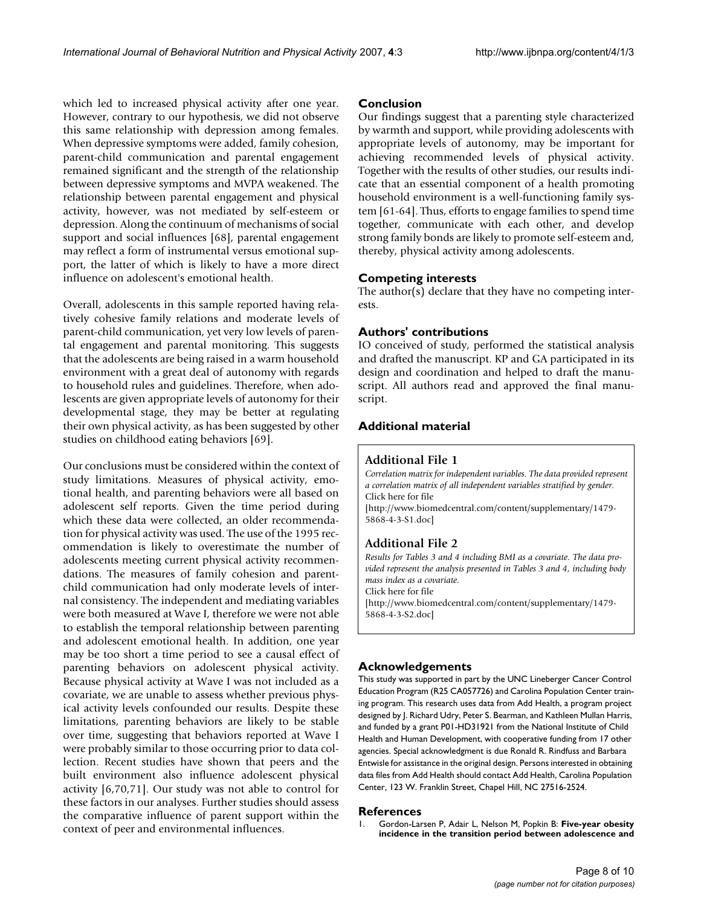which led to increased physical activity after one year. However, contrary to our hypothesis, we did not observe this same relationship with depression among females. When depressive symptoms were added, family cohesion, parent-child communication and parental engagement remained significant and the strength of the relationship between depressive symptoms and MVPA weakened. The relationship between parental engagement and physical activity, however, was not mediated by self-esteem or depression. Along the continuum of mechanisms of social support and social influences [68], parental engagement may reflect a form of instrumental versus emotional support, the latter of which is likely to have a more direct influence on adolescent's emotional health.

Overall, adolescents in this sample reported having relatively cohesive family relations and moderate levels of parent-child communication, yet very low levels of parental engagement and parental monitoring. This suggests that the adolescents are being raised in a warm household environment with a great deal of autonomy with regards to household rules and guidelines. Therefore, when adolescents are given appropriate levels of autonomy for their developmental stage, they may be better at regulating their own physical activity, as has been suggested by other studies on childhood eating behaviors [69].

Our conclusions must be considered within the context of study limitations. Measures of physical activity, emotional health, and parenting behaviors were all based on adolescent self reports. Given the time period during which these data were collected, an older recommendation for physical activity was used. The use of the 1995 recommendation is likely to overestimate the number of adolescents meeting current physical activity recommendations. The measures of family cohesion and parentchild communication had only moderate levels of internal consistency. The independent and mediating variables were both measured at Wave I, therefore we were not able to establish the temporal relationship between parenting and adolescent emotional health. In addition, one year may be too short a time period to see a causal effect of parenting behaviors on adolescent physical activity. Because physical activity at Wave I was not included as a covariate, we are unable to assess whether previous physical activity levels confounded our results. Despite these limitations, parenting behaviors are likely to be stable over time, suggesting that behaviors reported at Wave I were probably similar to those occurring prior to data collection. Recent studies have shown that peers and the built environment also influence adolescent physical activity [6,70,71]. Our study was not able to control for these factors in our analyses. Further studies should assess the comparative influence of parent support within the context of peer and environmental influences.

## **Conclusion**

Our findings suggest that a parenting style characterized by warmth and support, while providing adolescents with appropriate levels of autonomy, may be important for achieving recommended levels of physical activity. Together with the results of other studies, our results indicate that an essential component of a health promoting household environment is a well-functioning family system [61-64]. Thus, efforts to engage families to spend time together, communicate with each other, and develop strong family bonds are likely to promote self-esteem and, thereby, physical activity among adolescents.

## **Competing interests**

The author(s) declare that they have no competing interests.

## **Authors' contributions**

IO conceived of study, performed the statistical analysis and drafted the manuscript. KP and GA participated in its design and coordination and helped to draft the manuscript. All authors read and approved the final manuscript.

## **Additional material**

### **Additional File 1**

*Correlation matrix for independent variables. The data provided represent a correlation matrix of all independent variables stratified by gender.* Click here for file

[\[http://www.biomedcentral.com/content/supplementary/1479-](http://www.biomedcentral.com/content/supplementary/1479-5868-4-3-S1.doc) 5868-4-3-S1.doc]

### **Additional File 2**

*Results for Tables 3 and 4 including BMI as a covariate. The data provided represent the analysis presented in Tables 3 and 4, including body mass index as a covariate.* Click here for file [\[http://www.biomedcentral.com/content/supplementary/1479-](http://www.biomedcentral.com/content/supplementary/1479-5868-4-3-S2.doc)

5868-4-3-S2.doc]

### **Acknowledgements**

This study was supported in part by the UNC Lineberger Cancer Control Education Program (R25 CA057726) and Carolina Population Center training program. This research uses data from Add Health, a program project designed by J. Richard Udry, Peter S. Bearman, and Kathleen Mullan Harris, and funded by a grant P01-HD31921 from the National Institute of Child Health and Human Development, with cooperative funding from 17 other agencies. Special acknowledgment is due Ronald R. Rindfuss and Barbara Entwisle for assistance in the original design. Persons interested in obtaining data files from Add Health should contact Add Health, Carolina Population Center, 123 W. Franklin Street, Chapel Hill, NC 27516-2524.

#### **References**

1. Gordon-Larsen P, Adair L, Nelson M, Popkin B: **[Five-year obesity](http://www.ncbi.nlm.nih.gov/entrez/query.fcgi?cmd=Retrieve&db=PubMed&dopt=Abstract&list_uids=15321794) [incidence in the transition period between adolescence and](http://www.ncbi.nlm.nih.gov/entrez/query.fcgi?cmd=Retrieve&db=PubMed&dopt=Abstract&list_uids=15321794)**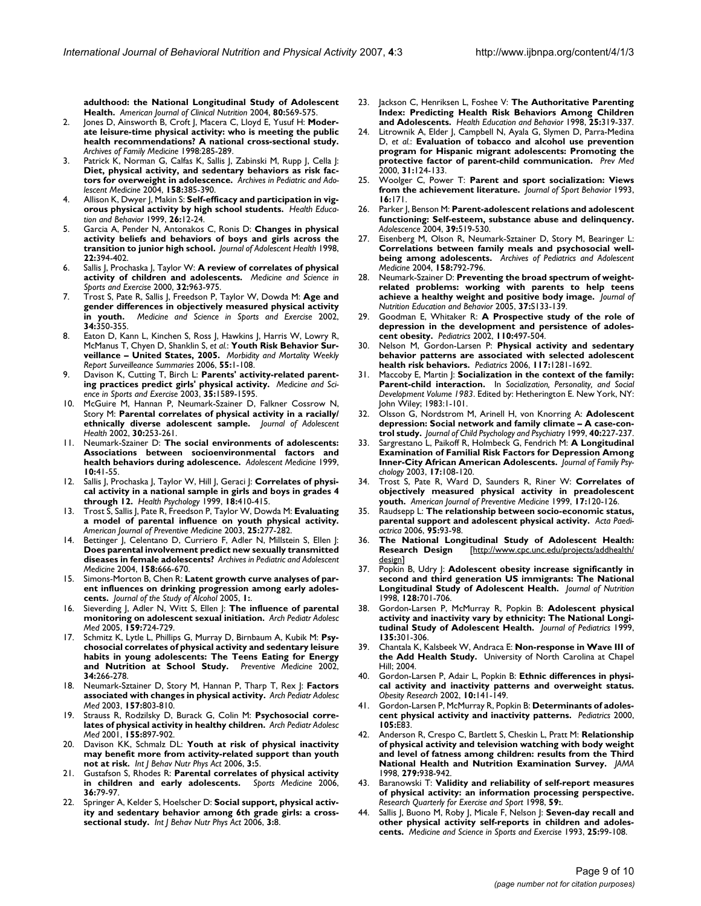**[adulthood: the National Longitudinal Study of Adolescent](http://www.ncbi.nlm.nih.gov/entrez/query.fcgi?cmd=Retrieve&db=PubMed&dopt=Abstract&list_uids=15321794) [Health.](http://www.ncbi.nlm.nih.gov/entrez/query.fcgi?cmd=Retrieve&db=PubMed&dopt=Abstract&list_uids=15321794)** *American Journal of Clinical Nutrition* 2004, **80:**569-575.

- 2. Jones D, Ainsworth B, Croft J, Macera C, Lloyd E, Yusuf H: **[Moder](http://www.ncbi.nlm.nih.gov/entrez/query.fcgi?cmd=Retrieve&db=PubMed&dopt=Abstract&list_uids=9596466)[ate leisure-time physical activity: who is meeting the public](http://www.ncbi.nlm.nih.gov/entrez/query.fcgi?cmd=Retrieve&db=PubMed&dopt=Abstract&list_uids=9596466) health recommendations? A national cross-sectional study.** *Archives of Family Medicine* 1998:285-289.
- Patrick K, Norman G, Calfas K, Sallis J, Zabinski M, Rupp J, Cella J: **Diet, physical activity, and sedentary behaviors as risk factors for overweight in adolescence.** *Archives in Pediatric and Adolescent Medicine* 2004, **158:**385-390.
- 4. Allison K, Dwyer J, Makin S: **Self-efficacy and participation in vigorous physical activity by high school students.** *Health Education and Behavior* 1999, **26:**12-24.
- 5. Garcia A, Pender N, Antonakos C, Ronis D: **[Changes in physical](http://www.ncbi.nlm.nih.gov/entrez/query.fcgi?cmd=Retrieve&db=PubMed&dopt=Abstract&list_uids=9589341) [activity beliefs and behaviors of boys and girls across the](http://www.ncbi.nlm.nih.gov/entrez/query.fcgi?cmd=Retrieve&db=PubMed&dopt=Abstract&list_uids=9589341) [transition to junior high school.](http://www.ncbi.nlm.nih.gov/entrez/query.fcgi?cmd=Retrieve&db=PubMed&dopt=Abstract&list_uids=9589341)** *Journal of Adolescent Health* 1998, **22:**394-402.
- 6. Sallis J, Prochaska J, Taylor W: **A review of correlates of physical activity of children and adolescents.** *Medicine and Science in Sports and Exercise* 2000, **32:**963-975.
- 7. Trost S, Pate R, Sallis J, Freedson P, Taylor W, Dowda M: **Age and gender differences in objectively measured physical activity in youth.** *Medicine and Science in Sports and Exercise* 2002, **34:**350-355.
- 8. Eaton D, Kann L, Kinchen S, Ross J, Hawkins J, Harris W, Lowry R, McManus T, Chyen D, Shanklin S, *et al.*: **Youth Risk Behavior Surveillance – United States, 2005.** *Morbidity and Mortality Weekly Report Surveilleance Summaries* 2006, **55:**1-108.
- 9. Davison K, Cutting T, Birch L: **Parents' activity-related parenting practices predict girls' physical activity.** *Medicine and Science in Sports and Exercise* 2003, **35:**1589-1595.
- 10. McGuire M, Hannan P, Neumark-Szainer D, Falkner Cossrow N, Story M: **[Parental correlates of physical activity in a racially/](http://www.ncbi.nlm.nih.gov/entrez/query.fcgi?cmd=Retrieve&db=PubMed&dopt=Abstract&list_uids=11927237) [ethnically diverse adolescent sample.](http://www.ncbi.nlm.nih.gov/entrez/query.fcgi?cmd=Retrieve&db=PubMed&dopt=Abstract&list_uids=11927237)** *Journal of Adolescent Health* 2002, **30:**253-261.
- 11. Neumark-Szainer D: **[The social environments of adolescents:](http://www.ncbi.nlm.nih.gov/entrez/query.fcgi?cmd=Retrieve&db=PubMed&dopt=Abstract&list_uids=10086165) [Associations between socioenvironmental factors and](http://www.ncbi.nlm.nih.gov/entrez/query.fcgi?cmd=Retrieve&db=PubMed&dopt=Abstract&list_uids=10086165) [health behaviors during adolescence.](http://www.ncbi.nlm.nih.gov/entrez/query.fcgi?cmd=Retrieve&db=PubMed&dopt=Abstract&list_uids=10086165)** *Adolescent Medicine* 1999, **10:**41-55.
- 12. Sallis J, Prochaska J, Taylor W, Hill J, Geraci J: **[Correlates of physi](http://www.ncbi.nlm.nih.gov/entrez/query.fcgi?cmd=Retrieve&db=PubMed&dopt=Abstract&list_uids=10431943)[cal activity in a national sample in girls and boys in grades 4](http://www.ncbi.nlm.nih.gov/entrez/query.fcgi?cmd=Retrieve&db=PubMed&dopt=Abstract&list_uids=10431943) [through 12.](http://www.ncbi.nlm.nih.gov/entrez/query.fcgi?cmd=Retrieve&db=PubMed&dopt=Abstract&list_uids=10431943)** *Health Psychology* 1999, **18:**410-415.
- 13. Trost S, Sallis J, Pate R, Freedson P, Taylor W, Dowda M: **[Evaluating](http://www.ncbi.nlm.nih.gov/entrez/query.fcgi?cmd=Retrieve&db=PubMed&dopt=Abstract&list_uids=14580627) [a model of parental influence on youth physical activity.](http://www.ncbi.nlm.nih.gov/entrez/query.fcgi?cmd=Retrieve&db=PubMed&dopt=Abstract&list_uids=14580627)** *American Journal of Preventive Medicine* 2003, **25:**277-282.
- 14. Bettinger J, Celentano D, Curriero F, Adler N, Millstein S, Ellen J: **Does parental involvement predict new sexually transmitted diseases in female adolescents?** *Archives in Pediatric and Adolescent Medicine* 2004, **158:**666-670.
- 15. Simons-Morton B, Chen R: **Latent growth curve analyses of parent influences on drinking progression among early adolescents.** *Journal of the Study of Alcohol* 2005, **1:**.
- 16. Sieverding J, Adler N, Witt S, Ellen J: **[The influence of parental](http://www.ncbi.nlm.nih.gov/entrez/query.fcgi?cmd=Retrieve&db=PubMed&dopt=Abstract&list_uids=16061779) [monitoring on adolescent sexual initiation.](http://www.ncbi.nlm.nih.gov/entrez/query.fcgi?cmd=Retrieve&db=PubMed&dopt=Abstract&list_uids=16061779)** *Arch Pediatr Adolesc Med* 2005, **159:**724-729.
- 17. Schmitz K, Lytle L, Phillips G, Murray D, Birnbaum A, Kubik M: **[Psy](http://www.ncbi.nlm.nih.gov/entrez/query.fcgi?cmd=Retrieve&db=PubMed&dopt=Abstract&list_uids=11817924)[chosocial correlates of physical activity and sedentary leisure](http://www.ncbi.nlm.nih.gov/entrez/query.fcgi?cmd=Retrieve&db=PubMed&dopt=Abstract&list_uids=11817924) habits in young adolescents: The Teens Eating for Energy [and Nutrition at School Study.](http://www.ncbi.nlm.nih.gov/entrez/query.fcgi?cmd=Retrieve&db=PubMed&dopt=Abstract&list_uids=11817924)** *Preventive Medicine* 2002, **34:**266-278.
- 18. Neumark-Sztainer D, Story M, Hannan P, Tharp T, Rex J: **[Factors](http://www.ncbi.nlm.nih.gov/entrez/query.fcgi?cmd=Retrieve&db=PubMed&dopt=Abstract&list_uids=12912787) [associated with changes in physical activity.](http://www.ncbi.nlm.nih.gov/entrez/query.fcgi?cmd=Retrieve&db=PubMed&dopt=Abstract&list_uids=12912787)** *Arch Pediatr Adolesc Med* 2003, **157:**803-810.
- 19. Strauss R, Rodzilsky D, Burack G, Colin M: **[Psychosocial corre](http://www.ncbi.nlm.nih.gov/entrez/query.fcgi?cmd=Retrieve&db=PubMed&dopt=Abstract&list_uids=11483116)[lates of physical activity in healthy children.](http://www.ncbi.nlm.nih.gov/entrez/query.fcgi?cmd=Retrieve&db=PubMed&dopt=Abstract&list_uids=11483116)** *Arch Pediatr Adolesc Med* 2001, **155:**897-902.
- 20. Davison KK, Schmalz DL: **[Youth at risk of physical inactivity](http://www.ncbi.nlm.nih.gov/entrez/query.fcgi?cmd=Retrieve&db=PubMed&dopt=Abstract&list_uids=16566842) [may benefit more from activity-related support than youth](http://www.ncbi.nlm.nih.gov/entrez/query.fcgi?cmd=Retrieve&db=PubMed&dopt=Abstract&list_uids=16566842) [not at risk.](http://www.ncbi.nlm.nih.gov/entrez/query.fcgi?cmd=Retrieve&db=PubMed&dopt=Abstract&list_uids=16566842)** *Int J Behav Nutr Phys Act* 2006, **3:**5.
- 21. Gustafson S, Rhodes R: **[Parental correlates of physical activity](http://www.ncbi.nlm.nih.gov/entrez/query.fcgi?cmd=Retrieve&db=PubMed&dopt=Abstract&list_uids=16445312) [in children and early adolescents.](http://www.ncbi.nlm.nih.gov/entrez/query.fcgi?cmd=Retrieve&db=PubMed&dopt=Abstract&list_uids=16445312)** *Sports Medicine* 2006, **36:**79-97.
- Springer A, Kelder S, Hoelscher D: [Social support, physical activ](http://www.ncbi.nlm.nih.gov/entrez/query.fcgi?cmd=Retrieve&db=PubMed&dopt=Abstract&list_uids=16600030)**[ity and sedentary behavior among 6th grade girls: a cross](http://www.ncbi.nlm.nih.gov/entrez/query.fcgi?cmd=Retrieve&db=PubMed&dopt=Abstract&list_uids=16600030)[sectional study.](http://www.ncbi.nlm.nih.gov/entrez/query.fcgi?cmd=Retrieve&db=PubMed&dopt=Abstract&list_uids=16600030)** *Int J Behav Nutr Phys Act* 2006, **3:**8.
- 23. Jackson C, Henriksen L, Foshee V: **The Authoritative Parenting Index: Predicting Health Risk Behaviors Among Children and Adolescents.** *Health Education and Behavior* 1998, **25:**319-337.
- 24. Litrownik A, Elder J, Campbell N, Ayala G, Slymen D, Parra-Medina D, *et al.*: **[Evaluation of tobacco and alcohol use prevention](http://www.ncbi.nlm.nih.gov/entrez/query.fcgi?cmd=Retrieve&db=PubMed&dopt=Abstract&list_uids=10938212) [program for Hispanic migrant adolescents: Promoting the](http://www.ncbi.nlm.nih.gov/entrez/query.fcgi?cmd=Retrieve&db=PubMed&dopt=Abstract&list_uids=10938212) [protective factor of parent-child communication.](http://www.ncbi.nlm.nih.gov/entrez/query.fcgi?cmd=Retrieve&db=PubMed&dopt=Abstract&list_uids=10938212)** *Prev Med* 2000, **31:**124-133.
- 25. Woolger C, Power T: **Parent and sport socialization: Views from the achievement literature.** *Journal of Sport Behavior* 1993, **16:**171.
- 26. Parker J, Benson M: **[Parent-adolescent relations and adolescent](http://www.ncbi.nlm.nih.gov/entrez/query.fcgi?cmd=Retrieve&db=PubMed&dopt=Abstract&list_uids=15673227) [functioning: Self-esteem, substance abuse and delinquency.](http://www.ncbi.nlm.nih.gov/entrez/query.fcgi?cmd=Retrieve&db=PubMed&dopt=Abstract&list_uids=15673227)** *Adolescence* 2004, **39:**519-530.
- 27. Eisenberg M, Olson R, Neumark-Sztainer D, Story M, Bearinger L: **Correlations between family meals and psychosocial wellbeing among adolescents.** *Archives of Pediatrics and Adolescent Medicine* 2004, **158:**792-796.
- 28. Neumark-Szainer D: **Preventing the broad spectrum of weightrelated problems: working with parents to help teens achieve a healthy weight and positive body image.** *Journal of Nutrition Education and Behavior* 2005, **37:**S133-139.
- 29. Goodman E, Whitaker R: **[A Prospective study of the role of](http://www.ncbi.nlm.nih.gov/entrez/query.fcgi?cmd=Retrieve&db=PubMed&dopt=Abstract&list_uids=12205250) [depression in the development and persistence of adoles](http://www.ncbi.nlm.nih.gov/entrez/query.fcgi?cmd=Retrieve&db=PubMed&dopt=Abstract&list_uids=12205250)[cent obesity.](http://www.ncbi.nlm.nih.gov/entrez/query.fcgi?cmd=Retrieve&db=PubMed&dopt=Abstract&list_uids=12205250)** *Pediatrics* 2002, **110:**497-504.
- 30. Nelson M, Gordon-Larsen P: **[Physical activity and sedentary](http://www.ncbi.nlm.nih.gov/entrez/query.fcgi?cmd=Retrieve&db=PubMed&dopt=Abstract&list_uids=16585325) [behavior patterns are associated with selected adolescent](http://www.ncbi.nlm.nih.gov/entrez/query.fcgi?cmd=Retrieve&db=PubMed&dopt=Abstract&list_uids=16585325) [health risk behaviors.](http://www.ncbi.nlm.nih.gov/entrez/query.fcgi?cmd=Retrieve&db=PubMed&dopt=Abstract&list_uids=16585325)** *Pediatrics* 2006, **117:**1281-1692.
- 31. Maccoby E, Martin J: **Socialization in the context of the family: Parent-child interaction.** In *Socialization, Personality, and Social Development Volume 1983*. Edited by: Hetherington E. New York, NY: John Wiley; 1983:1-101.
- 32. Olsson G, Nordstrom M, Arinell H, von Knorring A: **Adolescent depression: Social network and family climate – A case-control study.** *Journal of Child Psychology and Psychiatry* 1999, **40:**227-237.
- 33. Sargrestano L, Paikoff R, Holmbeck G, Fendrich M: **[A Longitudinal](http://www.ncbi.nlm.nih.gov/entrez/query.fcgi?cmd=Retrieve&db=PubMed&dopt=Abstract&list_uids=12666467) [Examination of Familial Risk Factors for Depression Among](http://www.ncbi.nlm.nih.gov/entrez/query.fcgi?cmd=Retrieve&db=PubMed&dopt=Abstract&list_uids=12666467) [Inner-City African American Adolescents.](http://www.ncbi.nlm.nih.gov/entrez/query.fcgi?cmd=Retrieve&db=PubMed&dopt=Abstract&list_uids=12666467)** *Journal of Family Psychology* 2003, **17:**108-120.
- 34. Trost S, Pate R, Ward D, Saunders R, Riner W: **[Correlates of](http://www.ncbi.nlm.nih.gov/entrez/query.fcgi?cmd=Retrieve&db=PubMed&dopt=Abstract&list_uids=10490054) [objectively measured physical activity in preadolescent](http://www.ncbi.nlm.nih.gov/entrez/query.fcgi?cmd=Retrieve&db=PubMed&dopt=Abstract&list_uids=10490054) [youth.](http://www.ncbi.nlm.nih.gov/entrez/query.fcgi?cmd=Retrieve&db=PubMed&dopt=Abstract&list_uids=10490054)** *American Journal of Preventive Medicine* 1999, **17:**120-126.
- 35. Raudsepp L: **The relationship between socio-economic status, parental support and adolescent physical activity.** *Acta Paediactrica* 2006, **95:**93-98.
- 36. **The National Longitudinal Study of Adolescent Health: Research Design** [\[http://www.cpc.unc.edu/projects/addhealth/](http://www.cpc.unc.edu/projects/addhealth/design) [design](http://www.cpc.unc.edu/projects/addhealth/design)]
- 37. Popkin B, Udry J: **[Adolescent obesity increase significantly in](http://www.ncbi.nlm.nih.gov/entrez/query.fcgi?cmd=Retrieve&db=PubMed&dopt=Abstract&list_uids=9521631) [second and third generation US immigrants: The National](http://www.ncbi.nlm.nih.gov/entrez/query.fcgi?cmd=Retrieve&db=PubMed&dopt=Abstract&list_uids=9521631) [Longitudinal Study of Adolescent Health.](http://www.ncbi.nlm.nih.gov/entrez/query.fcgi?cmd=Retrieve&db=PubMed&dopt=Abstract&list_uids=9521631)** *Journal of Nutrition* 1998, **128:**701-706.
- 38. Gordon-Larsen P, McMurray R, Popkin B: **[Adolescent physical](http://www.ncbi.nlm.nih.gov/entrez/query.fcgi?cmd=Retrieve&db=PubMed&dopt=Abstract&list_uids=10484793) [activity and inactivity vary by ethnicity: The National Longi](http://www.ncbi.nlm.nih.gov/entrez/query.fcgi?cmd=Retrieve&db=PubMed&dopt=Abstract&list_uids=10484793)[tudinal Study of Adolescent Health.](http://www.ncbi.nlm.nih.gov/entrez/query.fcgi?cmd=Retrieve&db=PubMed&dopt=Abstract&list_uids=10484793)** *Journal of Pediatrics* 1999, **135:**301-306.
- 39. Chantala K, Kalsbeek W, Andraca E: **Non-response in Wave III of the Add Health Study.** University of North Carolina at Chapel Hill; 2004.
- 40. Gordon-Larsen P, Adair L, Popkin B: **[Ethnic differences in physi](http://www.ncbi.nlm.nih.gov/entrez/query.fcgi?cmd=Retrieve&db=PubMed&dopt=Abstract&list_uids=11886936)[cal activity and inactivity patterns and overweight status.](http://www.ncbi.nlm.nih.gov/entrez/query.fcgi?cmd=Retrieve&db=PubMed&dopt=Abstract&list_uids=11886936)** *Obesity Research* 2002, **10:**141-149.
- 41. Gordon-Larsen P, McMurray R, Popkin B: **[Determinants of adoles](http://www.ncbi.nlm.nih.gov/entrez/query.fcgi?cmd=Retrieve&db=PubMed&dopt=Abstract&list_uids=10835096)[cent physical activity and inactivity patterns.](http://www.ncbi.nlm.nih.gov/entrez/query.fcgi?cmd=Retrieve&db=PubMed&dopt=Abstract&list_uids=10835096)** *Pediatrics* 2000, **105:**E83.
- 42. Anderson R, Crespo C, Bartlett S, Cheskin L, Pratt M: **[Relationship](http://www.ncbi.nlm.nih.gov/entrez/query.fcgi?cmd=Retrieve&db=PubMed&dopt=Abstract&list_uids=9544768) [of physical activity and television watching with body weight](http://www.ncbi.nlm.nih.gov/entrez/query.fcgi?cmd=Retrieve&db=PubMed&dopt=Abstract&list_uids=9544768) and level of fatness among children: results from the Third [National Health and Nutrition Examination Survey.](http://www.ncbi.nlm.nih.gov/entrez/query.fcgi?cmd=Retrieve&db=PubMed&dopt=Abstract&list_uids=9544768)** *JAMA* 1998, **279:**938-942.
- 43. Baranowski T: **Validity and reliability of self-report measures of physical activity: an information processing perspective.** *Research Quarterly for Exercise and Sport* 1998, **59:**.
- 44. Sallis J, Buono M, Roby J, Micale F, Nelson J: **Seven-day recall and other physical activity self-reports in children and adolescents.** *Medicine and Science in Sports and Exercise* 1993, **25:**99-108.